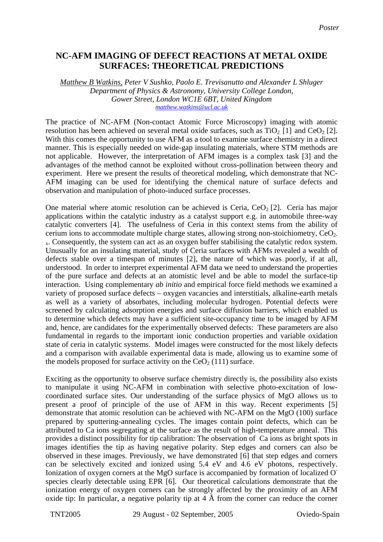## **NC-AFM IMAGING OF DEFECT REACTIONS AT METAL OXIDE SURFACES: THEORETICAL PREDICTIONS**

*Matthew B Watkins, Peter V Sushko, Paolo E. Trevisanutto and Alexander L Shluger Department of Physics & Astronomy, University College London, Gower Street, London WC1E 6BT, United Kingdom [matthew.watkins@ucl.ac.uk](http://www.phantomsnet.net/homes/mbw/TNT05_Abstract.doc)*

The practice of NC-AFM (Non-contact Atomic Force Microscopy) imaging with atomic resolution has been achieved on several metal oxide surfaces, such as  $TiO<sub>2</sub> [1]$  and  $CeO<sub>2</sub> [2]$ . With this comes the opportunity to use AFM as a tool to examine surface chemistry in a direct manner. This is especially needed on wide-gap insulating materials, where STM methods are not applicable. However, the interpretation of AFM images is a complex task [3] and the advantages of the method cannot be exploited without cross-pollination between theory and experiment. Here we present the results of theoretical modeling, which demonstrate that NC-AFM imaging can be used for identifying the chemical nature of surface defects and observation and manipulation of photo-induced surface processes.

One material where atomic resolution can be achieved is Ceria,  $CeO<sub>2</sub>$  [2]. Ceria has major applications within the catalytic industry as a catalyst support e.g. in automobile three-way catalytic converters [4]. The usefulness of Ceria in this context stems from the ability of cerium ions to accommodate multiple charge states, allowing strong non-stoichiometry,  $CeO<sub>2</sub>$ . <sub>x</sub>. Consequently, the system can act as an oxygen buffer stabilising the catalytic redox system. Unusually for an insulating material, study of Ceria surfaces with AFMs revealed a wealth of defects stable over a timespan of minutes [2], the nature of which was poorly, if at all, understood. In order to interpret experimental AFM data we need to understand the properties of the pure surface and defects at an atomistic level and be able to model the surface-tip interaction. Using complementary *ab initio* and empirical force field methods we examined a variety of proposed surface defects – oxygen vacancies and interstitials, alkaline-earth metals as well as a variety of absorbates, including molecular hydrogen. Potential defects were screened by calculating adsorption energies and surface diffusion barriers, which enabled us to determine which defects may have a sufficient site-occupancy time to be imaged by AFM and, hence, are candidates for the experimentally observed defects: These parameters are also fundamental in regards to the important ionic conduction properties and variable oxidation state of ceria in catalytic systems. Model images were constructed for the most likely defects and a comparison with available experimental data is made, allowing us to examine some of the models proposed for surface activity on the  $CeO<sub>2</sub>(111)$  surface.

Exciting as the opportunity to observe surface chemistry directly is, the possibility also exists to manipulate it using NC-AFM in combination with selective photo-excitation of lowcoordinated surface sites. Our understanding of the surface physics of MgO allows us to present a proof of principle of the use of AFM in this way. Recent experiments [5] demonstrate that atomic resolution can be achieved with NC-AFM on the MgO (100) surface prepared by sputtering-annealing cycles. The images contain point defects, which can be attributed to Ca ions segregating at the surface as the result of high-temperature anneal. This provides a distinct possibility for tip calibration: The observation of Ca ions as bright spots in images identifies the tip as having negative polarity. Step edges and corners can also be observed in these images. Previously, we have demonstrated [6] that step edges and corners can be selectively excited and ionized using 5.4 eV and 4.6 eV photons, respectively. Ionization of oxygen corners at the MgO surface is accompanied by formation of localized Ospecies clearly detectable using EPR [6]. Our theoretical calculations demonstrate that the ionization energy of oxygen corners can be strongly affected by the proximity of an AFM oxide tip: In particular, a negative polarity tip at  $\hat{A}$  Å from the corner can reduce the corner